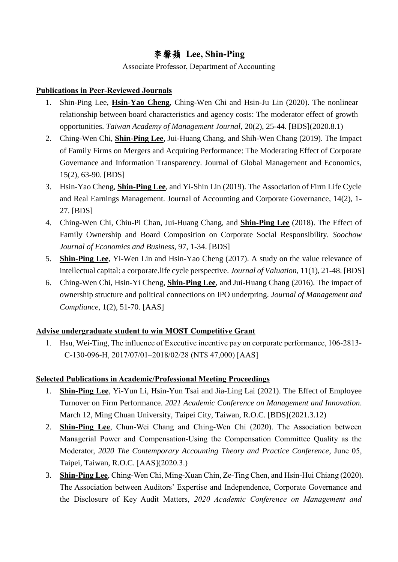## 李馨蘋 **Lee, Shin-Ping**

Associate Professor, Department of Accounting

## **Publications in Peer-Reviewed Journals**

- 1. Shin-Ping Lee, **Hsin-Yao Cheng**, Ching-Wen Chi and Hsin-Ju Lin (2020). The nonlinear relationship between board characteristics and agency costs: The moderator effect of growth opportunities. *Taiwan Academy of Management Journal*, 20(2), 25-44. [BDS](2020.8.1)
- 2. Ching-Wen Chi, **Shin-Ping Lee**, Jui-Huang Chang, and Shih-Wen Chang (2019). The Impact of Family Firms on Mergers and Acquiring Performance: The Moderating Effect of Corporate Governance and Information Transparency. Journal of Global Management and Economics, 15(2), 63-90. [BDS]
- 3. Hsin-Yao Cheng, **Shin-Ping Lee**, and Yi-Shin Lin (2019). The Association of Firm Life Cycle and Real Earnings Management. Journal of Accounting and Corporate Governance, 14(2), 1- 27. [BDS]
- 4. Ching-Wen Chi, Chiu-Pi Chan, Jui-Huang Chang, and **Shin-Ping Lee** (2018). The Effect of Family Ownership and Board Composition on Corporate Social Responsibility. *Soochow Journal of Economics and Business*, 97, 1-34. [BDS]
- 5. **Shin-Ping Lee**, Yi-Wen Lin and Hsin-Yao Cheng (2017). [A study on the value relevance of](http://eportfolio.mcu.edu.tw/ePortfolio/Teacher/Html/Common/epdf/8500604/RE_D2_20150916_7441.PDF)  [intellectual capital: a corporate.](http://eportfolio.mcu.edu.tw/ePortfolio/Teacher/Html/Common/epdf/8500604/RE_D2_20150916_7441.PDF)life cycle perspective. *Journal of Valuation,* 11(1), 21-48. [BDS]
- 6. Ching-Wen Chi, Hsin-Yi Cheng, **Shin-Ping Lee**, and Jui-Huang Chang (2016). The impact of ownership structure and political connections on IPO underpring. *Journal of Management and Compliance*, 1(2), 51-70. [AAS]

## **Advise undergraduate student to win MOST Competitive Grant**

1. Hsu, Wei-Ting, The influence of Executive incentive pay on corporate performance, 106-2813- C-130-096-H, 2017/07/01–2018/02/28 (NT\$ 47,000) [AAS]

## **Selected Publications in Academic/Professional Meeting Proceedings**

- 1. **Shin-Ping Lee**, Yi-Yun Li, Hsin-Yun Tsai and Jia-Ling Lai (2021). The Effect of Employee Turnover on Firm Performance. *2021 Academic Conference on Management and Innovation*. March 12, Ming Chuan University, Taipei City, Taiwan, R.O.C. [BDS](2021.3.12)
- 2. **Shin-Ping Lee**, Chun-Wei Chang and Ching-Wen Chi (2020). The Association between Managerial Power and Compensation-Using the Compensation Committee Quality as the Moderator, *2020 The Contemporary Accounting Theory and Practice Conference*, June 05, Taipei, Taiwan, R.O.C. [AAS](2020.3.)
- 3. **Shin-Ping Lee**, Ching-Wen Chi, Ming-Xuan Chin, Ze-Ting Chen, and Hsin-Hui Chiang (2020). The Association between Auditors' Expertise and Independence, Corporate Governance and the Disclosure of Key Audit Matters, *2020 Academic Conference on Management and*